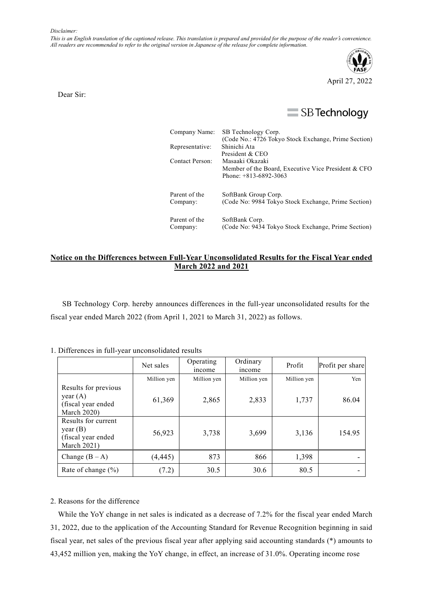*This is an English translation of the captioned release. This translation is prepared and provided for the purpose of the reader*'*s convenience. All readers are recommended to refer to the original version in Japanese of the release for complete information.*



Dear Sir:

## $\equiv$  SB Technology

| Company Name:   | SB Technology Corp.                                  |  |  |  |
|-----------------|------------------------------------------------------|--|--|--|
|                 | (Code No.: 4726 Tokyo Stock Exchange, Prime Section) |  |  |  |
| Representative: | Shinichi Ata                                         |  |  |  |
|                 | President & CEO                                      |  |  |  |
| Contact Person: | Masaaki Okazaki                                      |  |  |  |
|                 | Member of the Board, Executive Vice President & CFO  |  |  |  |
|                 | Phone: $+813-6892-3063$                              |  |  |  |
| Parent of the   | SoftBank Group Corp.                                 |  |  |  |
| Company:        | (Code No: 9984 Tokyo Stock Exchange, Prime Section)  |  |  |  |
|                 |                                                      |  |  |  |
| Parent of the   | SoftBank Corp.                                       |  |  |  |
| Company:        | (Code No: 9434 Tokyo Stock Exchange, Prime Section)  |  |  |  |

## **Notice on the Differences between Full-Year Unconsolidated Results for the Fiscal Year ended March 2022 and 2021**

SB Technology Corp. hereby announces differences in the full-year unconsolidated results for the fiscal year ended March 2022 (from April 1, 2021 to March 31, 2022) as follows.

## 1. Differences in full-year unconsolidated results

|                                                                                | Net sales   | Operating<br><i>ncome</i> | Ordinary<br>income | Profit      | Profit per share |
|--------------------------------------------------------------------------------|-------------|---------------------------|--------------------|-------------|------------------|
|                                                                                | Million yen | Million yen               | Million yen        | Million yen | Yen              |
| Results for previous<br>year $(A)$<br>(fiscal year ended<br><b>March 2020)</b> | 61,369      | 2,865                     | 2,833              | 1,737       | 86.04            |
| Results for current<br>year(B)<br>(fiscal year ended<br>March $2021$ )         | 56,923      | 3,738                     | 3,699              | 3,136       | 154.95           |
| Change $(B - A)$                                                               | (4, 445)    | 873                       | 866                | 1,398       |                  |
| Rate of change $(\% )$                                                         | (7.2)       | 30.5                      | 30.6               | 80.5        |                  |

## 2. Reasons for the difference

While the YoY change in net sales is indicated as a decrease of 7.2% for the fiscal year ended March 31, 2022, due to the application of the Accounting Standard for Revenue Recognition beginning in said fiscal year, net sales of the previous fiscal year after applying said accounting standards (\*) amounts to 43,452 million yen, making the YoY change, in effect, an increase of 31.0%. Operating income rose